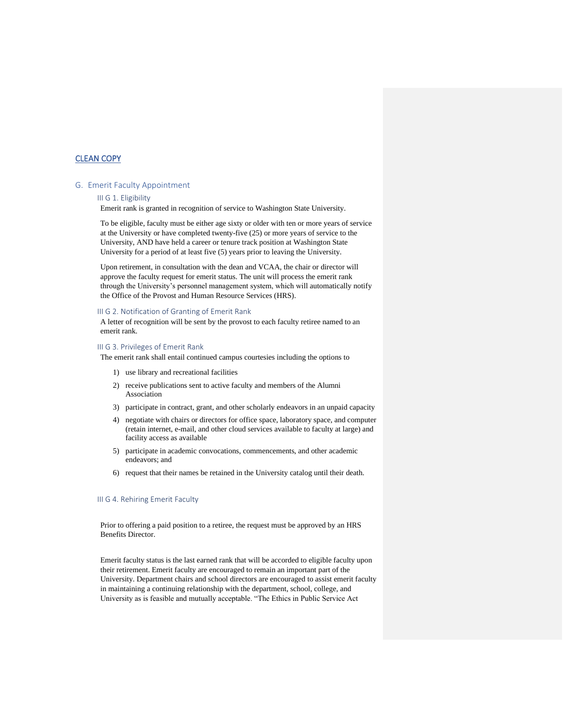# CLEAN COPY

# G. Emerit Faculty Appointment

### III G 1. Eligibility

Emerit rank is granted in recognition of service to Washington State University.

To be eligible, faculty must be either age sixty or older with ten or more years of service at the University or have completed twenty-five (25) or more years of service to the University, AND have held a career or tenure track position at Washington State University for a period of at least five (5) years prior to leaving the University.

Upon retirement, in consultation with the dean and VCAA, the chair or director will approve the faculty request for emerit status. The unit will process the emerit rank through the University's personnel management system, which will automatically notify the Office of the Provost and Human Resource Services (HRS).

### III G 2. Notification of Granting of Emerit Rank

A letter of recognition will be sent by the provost to each faculty retiree named to an emerit rank.

### III G 3. Privileges of Emerit Rank

The emerit rank shall entail continued campus courtesies including the options to

- 1) use library and recreational facilities
- 2) receive publications sent to active faculty and members of the Alumni Association
- 3) participate in contract, grant, and other scholarly endeavors in an unpaid capacity
- 4) negotiate with chairs or directors for office space, laboratory space, and computer (retain internet, e-mail, and other cloud services available to faculty at large) and facility access as available
- 5) participate in academic convocations, commencements, and other academic endeavors; and
- 6) request that their names be retained in the University catalog until their death.

# III G 4. Rehiring Emerit Faculty

Prior to offering a paid position to a retiree, the request must be approved by an HRS Benefits Director.

Emerit faculty status is the last earned rank that will be accorded to eligible faculty upon their retirement. Emerit faculty are encouraged to remain an important part of the University. Department chairs and school directors are encouraged to assist emerit faculty in maintaining a continuing relationship with the department, school, college, and University as is feasible and mutually acceptable. "The Ethics in Public Service Act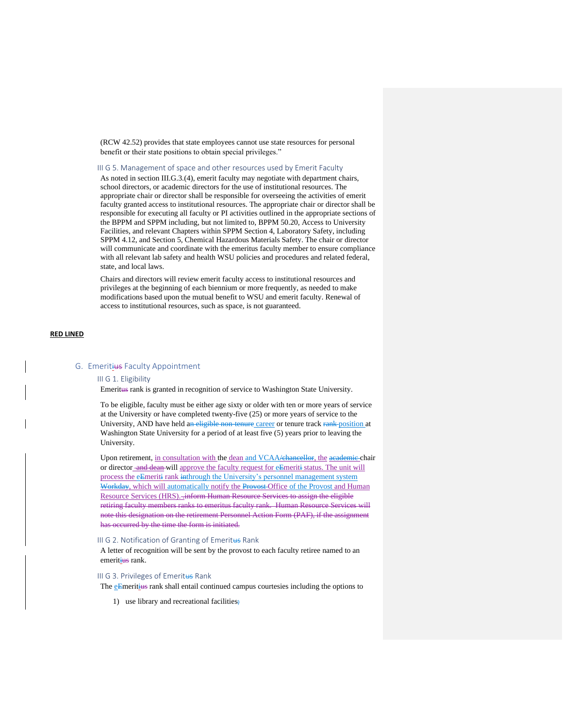(RCW 42.52) provides that state employees cannot use state resources for personal benefit or their state positions to obtain special privileges."

III G 5. Management of space and other resources used by Emerit Faculty

As noted in section III.G.3.(4), emerit faculty may negotiate with department chairs, school directors, or academic directors for the use of institutional resources. The appropriate chair or director shall be responsible for overseeing the activities of emerit faculty granted access to institutional resources. The appropriate chair or director shall be responsible for executing all faculty or PI activities outlined in the appropriate sections of the BPPM and SPPM including, but not limited to, BPPM 50.20, Access to University Facilities, and relevant Chapters within SPPM Section 4, Laboratory Safety, including SPPM 4.12, and Section 5, Chemical Hazardous Materials Safety. The chair or director will communicate and coordinate with the emeritus faculty member to ensure compliance with all relevant lab safety and health WSU policies and procedures and related federal, state, and local laws.

Chairs and directors will review emerit faculty access to institutional resources and privileges at the beginning of each biennium or more frequently, as needed to make modifications based upon the mutual benefit to WSU and emerit faculty. Renewal of access to institutional resources, such as space, is not guaranteed.

### **RED LINED**

# G. Emeritius Faculty Appointment

### III G 1. Eligibility

Emeritus rank is granted in recognition of service to Washington State University.

To be eligible, faculty must be either age sixty or older with ten or more years of service at the University or have completed twenty-five (25) or more years of service to the University, AND have held an eligible non-tenure career or tenure track rank-position at Washington State University for a period of at least five (5) years prior to leaving the University.

Upon retirement, in consultation with the dean and VCAA/chancellor, the academic chair or director and dean will approve the faculty request for eEmeriti status. The unit will process the eEmeriti rank inthrough the University's personnel management system Workday, which will automatically notify the Provost-Office of the Provost and Human Resource Services (HRS). .inform Human Resource Services to assign the eligible retiring faculty members ranks to emeritus faculty rank. Human Resource Services will note this designation on the retirement Personnel Action Form (PAF), if the assignment has occurred by the time the form is initiated.

#### III G 2. Notification of Granting of Emeritus Rank

A letter of recognition will be sent by the provost to each faculty retiree named to an emeritius rank.

# III G 3. Privileges of Emeritus Rank

The eEmeritius rank shall entail continued campus courtesies including the options to

1) use library and recreational facilities;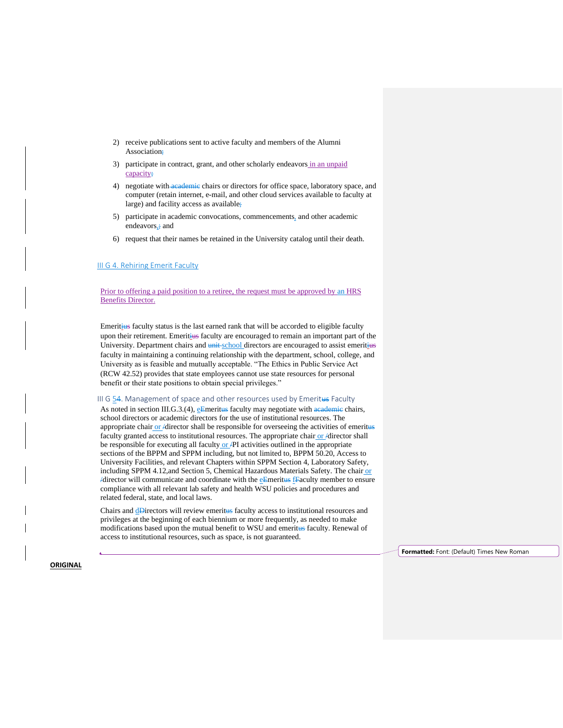- 2) receive publications sent to active faculty and members of the Alumni Association;
- 3) participate in contract, grant, and other scholarly endeavors in an unpaid capacity;
- 4) negotiate with academic chairs or directors for office space, laboratory space, and computer (retain internet, e-mail, and other cloud services available to faculty at large) and facility access as available;
- 5) participate in academic convocations, commencements, and other academic endeavors, i and
- 6) request that their names be retained in the University catalog until their death.

# III G 4. Rehiring Emerit Faculty

Prior to offering a paid position to a retiree, the request must be approved by an HRS Benefits Director.

Emeritius faculty status is the last earned rank that will be accorded to eligible faculty upon their retirement. Emeritius faculty are encouraged to remain an important part of the University. Department chairs and unit school directors are encouraged to assist emeritius faculty in maintaining a continuing relationship with the department, school, college, and University as is feasible and mutually acceptable. "The Ethics in Public Service Act (RCW 42.52) provides that state employees cannot use state resources for personal benefit or their state positions to obtain special privileges."

III G 54. Management of space and other resources used by Emeritus Faculty

As noted in section III.G.3.(4),  $e^{\text{Emeritus}}$  faculty may negotiate with  $\alpha$  and  $\alpha$  chairs, school directors or academic directors for the use of institutional resources. The appropriate chair or /director shall be responsible for overseeing the activities of emeritus faculty granted access to institutional resources. The appropriate chair or /director shall be responsible for executing all faculty or  $/PI$  activities outlined in the appropriate sections of the BPPM and SPPM including, but not limited to, BPPM 50.20, Access to University Facilities, and relevant Chapters within SPPM Section 4, Laboratory Safety, including SPPM 4.12,and Section 5, Chemical Hazardous Materials Safety. The chair or  $\overline{A}$  /director will communicate and coordinate with the  $\overline{e}$ **Emeritus**  $\overline{f}$ **Eaculty member to ensure** compliance with all relevant lab safety and health WSU policies and procedures and related federal, state, and local laws.

Chairs and **dD**irectors will review emeritus faculty access to institutional resources and privileges at the beginning of each biennium or more frequently, as needed to make modifications based upon the mutual benefit to WSU and emeritus faculty. Renewal of access to institutional resources, such as space, is not guaranteed.

**Formatted:** Font: (Default) Times New Roman

**ORIGINAL**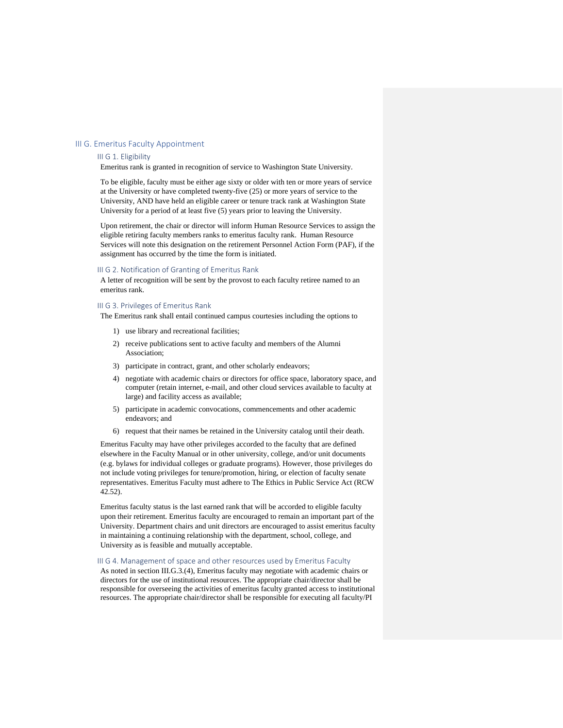# III G. Emeritus Faculty Appointment

### III G 1. Eligibility

Emeritus rank is granted in recognition of service to Washington State University.

To be eligible, faculty must be either age sixty or older with ten or more years of service at the University or have completed twenty-five (25) or more years of service to the University, AND have held an eligible career or tenure track rank at Washington State University for a period of at least five (5) years prior to leaving the University.

Upon retirement, the chair or director will inform Human Resource Services to assign the eligible retiring faculty members ranks to emeritus faculty rank. Human Resource Services will note this designation on the retirement Personnel Action Form (PAF), if the assignment has occurred by the time the form is initiated.

### III G 2. Notification of Granting of Emeritus Rank

A letter of recognition will be sent by the provost to each faculty retiree named to an emeritus rank.

#### III G 3. Privileges of Emeritus Rank

The Emeritus rank shall entail continued campus courtesies including the options to

- 1) use library and recreational facilities;
- 2) receive publications sent to active faculty and members of the Alumni Association;
- 3) participate in contract, grant, and other scholarly endeavors;
- 4) negotiate with academic chairs or directors for office space, laboratory space, and computer (retain internet, e-mail, and other cloud services available to faculty at large) and facility access as available;
- 5) participate in academic convocations, commencements and other academic endeavors; and
- 6) request that their names be retained in the University catalog until their death.

Emeritus Faculty may have other privileges accorded to the faculty that are defined elsewhere in the Faculty Manual or in other university, college, and/or unit documents (e.g. bylaws for individual colleges or graduate programs). However, those privileges do not include voting privileges for tenure/promotion, hiring, or election of faculty senate representatives. Emeritus Faculty must adhere to The Ethics in Public Service Act (RCW 42.52).

Emeritus faculty status is the last earned rank that will be accorded to eligible faculty upon their retirement. Emeritus faculty are encouraged to remain an important part of the University. Department chairs and unit directors are encouraged to assist emeritus faculty in maintaining a continuing relationship with the department, school, college, and University as is feasible and mutually acceptable.

# III G 4. Management of space and other resources used by Emeritus Faculty

As noted in section III.G.3.(4), Emeritus faculty may negotiate with academic chairs or directors for the use of institutional resources. The appropriate chair/director shall be responsible for overseeing the activities of emeritus faculty granted access to institutional resources. The appropriate chair/director shall be responsible for executing all faculty/PI